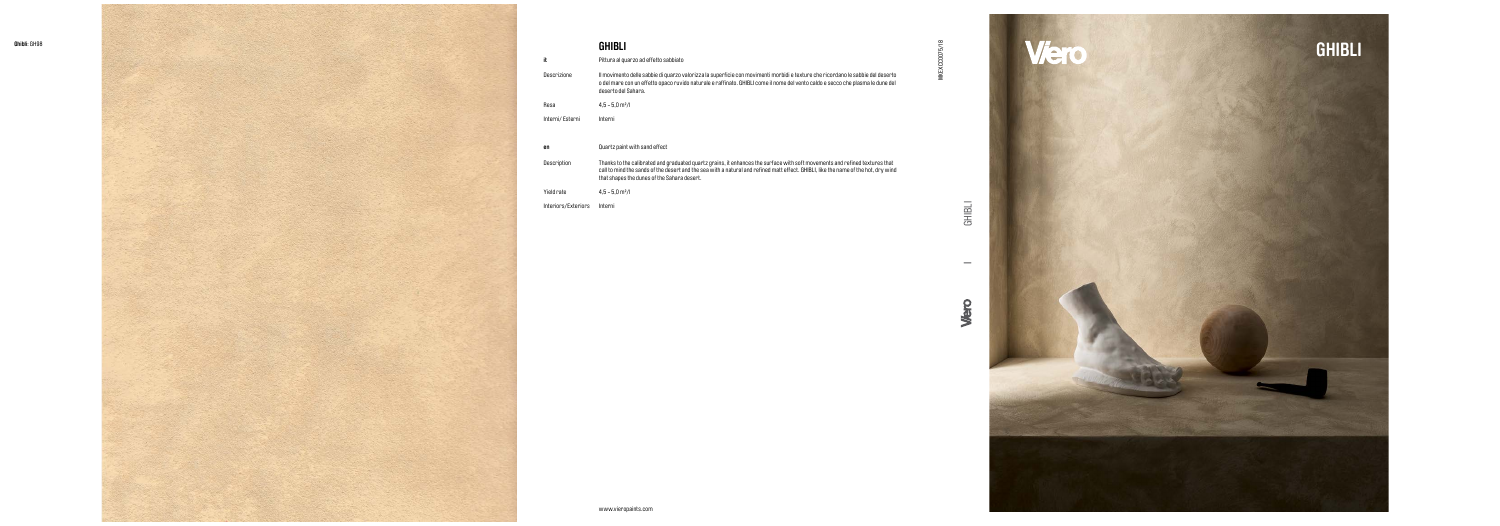MKEXCC0075/18



## **GHIBLI**

Pittura al quarzo ad effetto sabbiato

- Thanks to the calibrated and graduated quartz grains, it enhances the surface with soft movements and refined textures that call to mind the sands of the desert and the sea with a natural and refined matt effect. GHIBLI, like the name of the hot, dry wind that shapes the dunes of the Sahara desert. Description
- Yield rate  $4,5 5,0$  m<sup>2</sup>/l

Il movimento delle sabbie di quarzo valorizza la superficie con movimenti morbidi e texture che ricordano le sabbie del deserto o del mare con un effetto opaco ruvido naturale e raffinato. GHIBLI come il nome del vento caldo e secco che plasma le dune del deserto del Sahara.

Descrizione



Resa 4,5 - 5,0 m²/l

Interni/ Esterni Interni

Quartz paint with sand effect

**en**

Interiors/Exteriors Interni